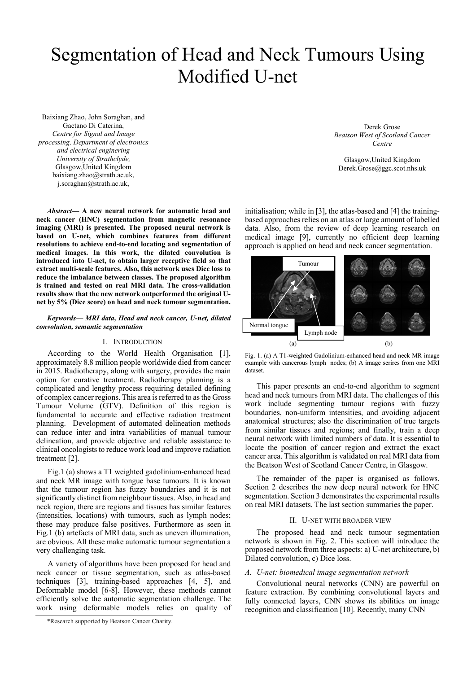# Segmentation of Head and Neck Tumours Using Modified U-net

Baixiang Zhao, John Soraghan, and Gaetano Di Caterina, *Centre for Signal and Image processing, Department of electronics and electrical enginering University of Strathclyde,*  Glasgow,United Kingdom baixiang.zhao@strath.ac.uk, j.soraghan@strath.ac.uk,

*Abstract***— A new neural network for automatic head and neck cancer (HNC) segmentation from magnetic resonance imaging (MRI) is presented. The proposed neural network is based on U-net, which combines features from different resolutions to achieve end-to-end locating and segmentation of medical images. In this work, the dilated convolution is introduced into U-net, to obtain larger receptive field so that extract multi-scale features. Also, this network uses Dice loss to reduce the imbalance between classes. The proposed algorithm is trained and tested on real MRI data. The cross-validation results show that the new network outperformed the original Unet by 5% (Dice score) on head and neck tumour segmentation.**

# *Keywords— MRI data, Head and neck cancer, U-net, dilated convolution, semantic segmentation*

# I. INTRODUCTION

According to the World Health Organisation [1], approximately 8.8 million people worldwide died from cancer in 2015. Radiotherapy, along with surgery, provides the main option for curative treatment. Radiotherapy planning is a complicated and lengthy process requiring detailed defining of complex cancer regions. This area is referred to as the Gross Tumour Volume (GTV). Definition of this region is fundamental to accurate and effective radiation treatment planning. Development of automated delineation methods can reduce inter and intra variabilities of manual tumour delineation, and provide objective and reliable assistance to clinical oncologists to reduce work load and improve radiation treatment [2].

Fig.1 (a) shows a T1 weighted gadolinium-enhanced head and neck MR image with tongue base tumours. It is known that the tumour region has fuzzy boundaries and it is not significantly distinct from neighbour tissues. Also, in head and neck region, there are regions and tissues has similar features (intensities, locations) with tumours, such as lymph nodes; these may produce false positives. Furthermore as seen in Fig.1 (b) artefacts of MRI data, such as uneven illumination, are obvious. All these make automatic tumour segmentation a very challenging task.

A variety of algorithms have been proposed for head and neck cancer or tissue segmentation, such as atlas-based techniques [3], training-based approaches [4, 5], and Deformable model [6-8]. However, these methods cannot efficiently solve the automatic segmentation challenge. The work using deformable models relies on quality of

Derek Grose *Beatson West of Scotland Cancer Centre*

Glasgow,United Kingdom Derek.Grose@ggc.scot.nhs.uk

initialisation; while in [3], the atlas-based and [4] the trainingbased approaches relies on an atlas or large amount of labelled data. Also, from the review of deep learning research on medical image [9], currently no efficient deep learning approach is applied on head and neck cancer segmentation.



Fig. 1. (a) A T1-weighted Gadolinium-enhanced head and neck MR image example with cancerous lymph nodes; (b) A image serires from one MRI dataset.

This paper presents an end-to-end algorithm to segment head and neck tumours from MRI data. The challenges of this work include segmenting tumour regions with fuzzy boundaries, non-uniform intensities, and avoiding adjacent anatomical structures; also the discrimination of true targets from similar tissues and regions; and finally, train a deep neural network with limited numbers of data. It is essential to locate the position of cancer region and extract the exact cancer area. This algorithm is validated on real MRI data from the Beatson West of Scotland Cancer Centre, in Glasgow.

The remainder of the paper is organised as follows. Section 2 describes the new deep neural network for HNC segmentation. Section 3 demonstrates the experimental results on real MRI datasets. The last section summaries the paper.

#### II. U-NET WITH BROADER VIEW

The proposed head and neck tumour segmentation network is shown in Fig. 2. This section will introduce the proposed network from three aspects: a) U-net architecture, b) Dilated convolution, c) Dice loss.

# *A. U-net: biomedical image segmentation network*

Convolutional neural networks (CNN) are powerful on feature extraction. By combining convolutional layers and fully connected layers, CNN shows its abilities on image recognition and classification [10]. Recently, many CNN

<sup>\*</sup>Research supported by Beatson Cancer Charity.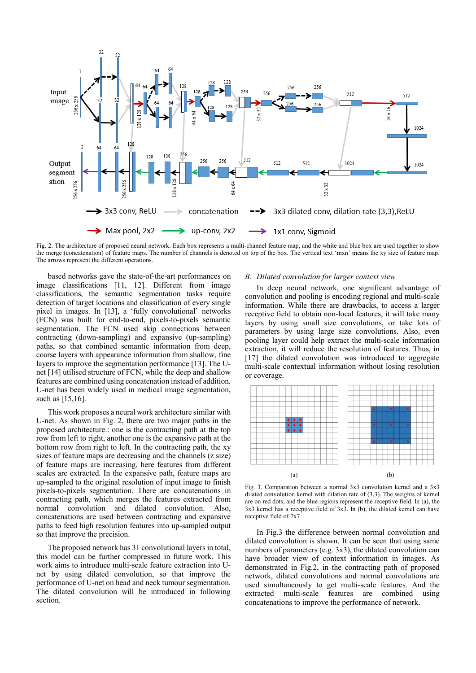

Fig. 2. The architecture of proposed neural network. Each box represents a multi-channel feature map, and the white and blue box are used together to show the merge (concatenation) of feature maps. The number of channels is denoted on top of the box. The vertical text 'mxn' means the xy size of feature map. The arrows represent the different operations.

based networks gave the state-of-the-art performances on image classifications [11, 12]. Different from image classifications, the semantic segmentation tasks require detection of target locations and classification of every single pixel in images. In [13], a 'fully convolutional' networks (FCN) was built for end-to-end, pixels-to-pixels semantic segmentation. The FCN used skip connections between contracting (down-sampling) and expansive (up-sampling) paths, so that combined semantic information from deep, coarse layers with appearance information from shallow, fine layers to improve the segmentation performance [13]. The Unet [14] utilised structure of FCN, while the deep and shallow features are combined using concatenation instead of addition. U-net has been widely used in medical image segmentation, such as [15,16].

This work proposes a neural work architecture similar with U-net. As shown in Fig. 2, there are two major paths in the proposed architecture.: one is the contracting path at the top row from left to right, another one is the expansive path at the bottom row from right to left. In the contracting path, the xy sizes of feature maps are decreasing and the channels (z size) of feature maps are increasing, here features from different scales are extracted. In the expansive path, feature maps are up-sampled to the original resolution of input image to finish pixels-to-pixels segmentation. There are concatenations in contracting path, which merges the features extracted from normal convolution and dilated convolution. Also, concatenations are used between contracting and expansive paths to feed high resolution features into up-sampled output so that improve the precision.

The proposed network has 31 convolutional layers in total, this model can be further compressed in future work. This work aims to introduce multi-scale feature extraction into Unet by using dilated convolution, so that improve the performance of U-net on head and neck tumour segmentation. The dilated convolution will be introduced in following section.

# *B. Dilated convolution for larger context view*

In deep neural network, one significant advantage of convolution and pooling is encoding regional and multi-scale information. While there are drawbacks, to access a larger receptive field to obtain non-local features, it will take many layers by using small size convolutions, or take lots of parameters by using large size convolutions. Also, even pooling layer could help extract the multi-scale information extraction, it will reduce the resolution of features. Thus, in [17] the dilated convolution was introduced to aggregate multi-scale contextual information without losing resolution or coverage.



Fig. 3. Comparation between a normal 3x3 convolution kernel and a 3x3 dilated convolution kernel with dilation rate of (3,3). The weights of kernel are on red dots, and the blue regions represent the receptive field. In (a), the 3x3 kernel has a receptive field of 3x3. In (b), the dilated kernel can have receptive field of 7x7.

In Fig.3 the difference between normal convolution and dilated convolution is shown. It can be seen that using same numbers of parameters (e.g. 3x3), the dilated convolution can have broader view of context information in images. As demonstrated in Fig.2, in the contracting path of proposed network, dilated convolutions and normal convolutions are used simultaneously to get multi-scale features. And the extracted multi-scale features are combined using concatenations to improve the performance of network.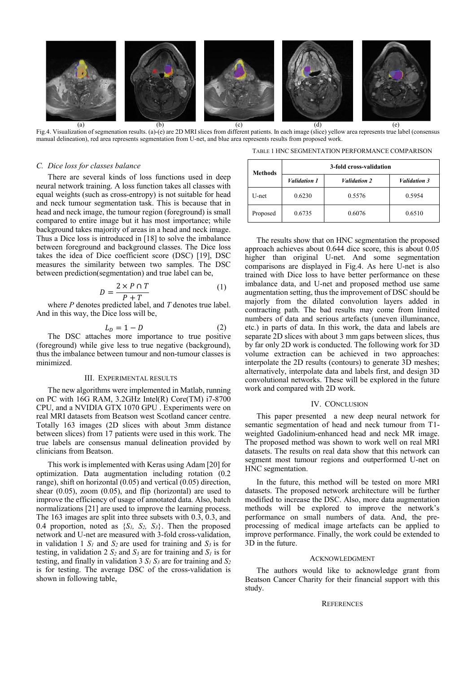

Fig.4. Visualization of segmenation results. (a)-(e) are 2D MRI slices from different patients. In each image (slice) yellow area represents true label (consensus manual delineation), red area represents segmentation from U-net, and blue area represents results from proposed work.

# *C. Dice loss for classes balance*

There are several kinds of loss functions used in deep neural network training. A loss function takes all classes with equal weights (such as cross-entropy) is not suitable for head and neck tumour segmentation task. This is because that in head and neck image, the tumour region (foreground) is small compared to entire image but it has most importance; while background takes majority of areas in a head and neck image. Thus a Dice loss is introduced in [18] to solve the imbalance between foreground and background classes. The Dice loss takes the idea of Dice coefficient score (DSC) [19], DSC measures the similarity between two samples. The DSC between prediction(segmentation) and true label can be,

$$
D = \frac{2 \times P \cap T}{P + T} \tag{1}
$$

where *P* denotes predicted label, and *T* denotes true label. And in this way, the Dice loss will be,

$$
L_D = 1 - D \tag{2}
$$

The DSC attaches more importance to true positive (foreground) while give less to true negative (background), thus the imbalance between tumour and non-tumour classes is minimized.

#### III. EXPERIMENTAL RESULTS

The new algorithms were implemented in Matlab, running on PC with 16G RAM, 3.2GHz Intel(R) Core(TM) i7-8700 CPU, and a NVIDIA GTX 1070 GPU . Experiments were on real MRI datasets from Beatson west Scotland cancer centre. Totally 163 images (2D slices with about 3mm distance between slices) from 17 patients were used in this work. The true labels are consensus manual delineation provided by clinicians from Beatson.

This work is implemented with Keras using Adam [20] for optimization. Data augmentation including rotation (0.2 range), shift on horizontal (0.05) and vertical (0.05) direction, shear (0.05), zoom (0.05), and flip (horizontal) are used to improve the efficiency of usage of annotated data. Also, batch normalizations [21] are used to improve the learning process. The 163 images are split into three subsets with 0.3, 0.3, and 0.4 proportion, noted as  $\{S_1, S_2, S_3\}$ . Then the proposed network and U-net are measured with 3-fold cross-validation, in validation 1  $S_l$  and  $S_2$  are used for training and  $S_3$  is for testing, in validation 2  $S_2$  and  $S_3$  are for training and  $S_1$  is for testing, and finally in validation 3  $S<sub>l</sub> S<sub>3</sub>$  are for training and  $S<sub>2</sub>$ is for testing. The average DSC of the cross-validation is shown in following table,

| <b>Methods</b> | 3-fold cross-validation |                     |                     |
|----------------|-------------------------|---------------------|---------------------|
|                | <b>Validation 1</b>     | <b>Validation 2</b> | <i>Validation 3</i> |
| U-net          | 0.6230                  | 0.5576              | 0.5954              |
| Proposed       | 0.6735                  | 0.6076              | 0.6510              |

TABLE 1 HNC SEGMENTATION PERFORMANCE COMPARISON

The results show that on HNC segmentation the proposed

approach achieves about 0.644 dice score, this is about 0.05 higher than original U-net. And some segmentation comparisons are displayed in Fig.4. As here U-net is also trained with Dice loss to have better performance on these imbalance data, and U-net and proposed method use same augmentation setting, thus the improvement of DSC should be majorly from the dilated convolution layers added in contracting path. The bad results may come from limited numbers of data and serious artefacts (uneven illuminance, etc.) in parts of data. In this work, the data and labels are separate 2D slices with about 3 mm gaps between slices, thus by far only 2D work is conducted. The following work for 3D volume extraction can be achieved in two approaches: interpolate the 2D results (contours) to generate 3D meshes; alternatively, interpolate data and labels first, and design 3D convolutional networks. These will be explored in the future work and compared with 2D work.

#### IV. CONCLUSION

This paper presented a new deep neural network for semantic segmentation of head and neck tumour from T1weighted Gadolinium-enhanced head and neck MR image. The proposed method was shown to work well on real MRI datasets. The results on real data show that this network can segment most tumour regions and outperformed U-net on HNC segmentation.

In the future, this method will be tested on more MRI datasets. The proposed network architecture will be further modified to increase the DSC. Also, more data augmentation methods will be explored to improve the network's performance on small numbers of data. And, the preprocessing of medical image artefacts can be applied to improve performance. Finally, the work could be extended to 3D in the future.

#### ACKNOWLEDGMENT

The authors would like to acknowledge grant from Beatson Cancer Charity for their financial support with this study.

#### **REFERENCES**